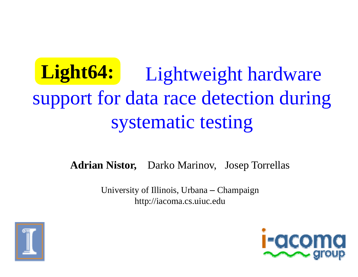#### Light64: Ligh support for data race detection during systematic testing htweight hardware

**Adrian Nistor,** Darko M Marinov, Josep Torrellas

University of Illinois, Urbana – Champaign http://iacoma a.cs.uiuc.edu



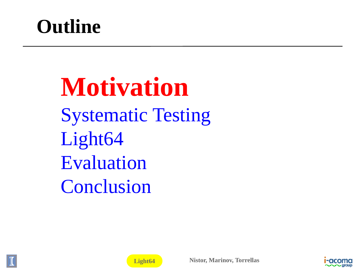### **Outline**

**Motivation nSystematic Testing** Light64 Evaluation Conclusion





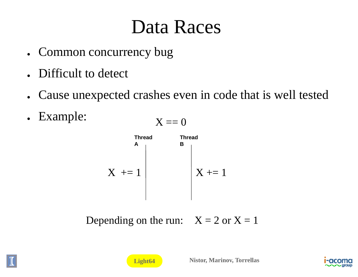#### Data Races

- Common concurrency bug
- Difficult to detect
- ●Cause unexpected crashes e ven in code that is well tested
- Example:

$$
X == 0
$$
  
Thread  
Three



Depending on the run:  $X = 2$  or  $X = 1$ 



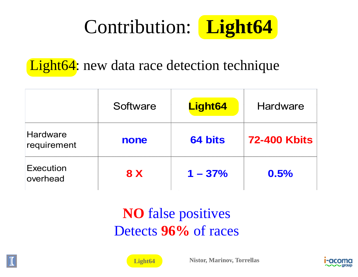

#### **Light64**: new data race detection technique

|                                | Software   | Light64   | Hardware            |
|--------------------------------|------------|-----------|---------------------|
| <b>Hardware</b><br>requirement | none       | 64 bits   | <b>72-400 Kbits</b> |
| <b>Execution</b><br>overhead   | <b>8 X</b> | $1 - 37%$ | 0.5%                |

#### **NO** false positives Detects 96% of races





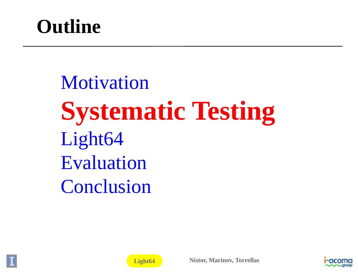## **Outline**

Motivation **Systematic Testing** Light64 Evaluation Conclusion





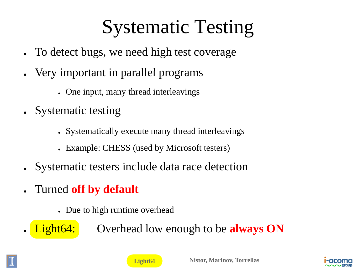# Systematic Testing

- ●• To detect bugs, we need high test coverage
- ●• Very important in parallel programs
	- One input, many thread interleavings
- Systematic testing
	- Systematically execute many thread interleavings
	- Example: CHESS (used by Microsoft testers)
- ●Systematic testers include data a race detection
- ● Turned **off by default**
	- Due to high runtime overhead
- ●
- **Light64:** Overhead low enough to be **always ON**



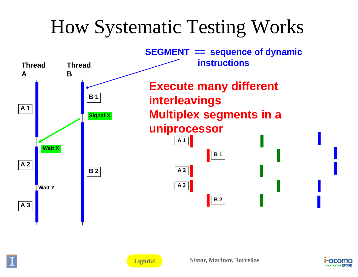## How Systematic Testing Works





**Light64**

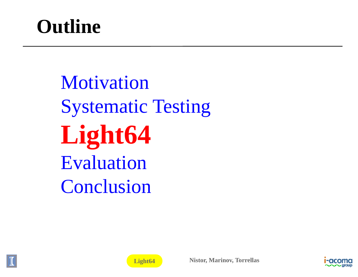## **Outline**

Motivation **Systematic Testing Light64** Evaluation Conclusion





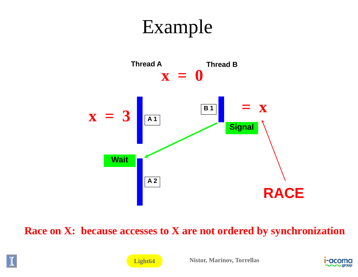#### Exam mple



**Race on X: because accesses to X are not ordered by synchronization** 





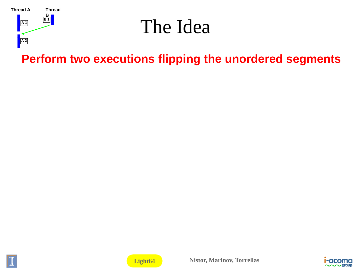

#### The Idea

Perform two executions flipping the unordered segments





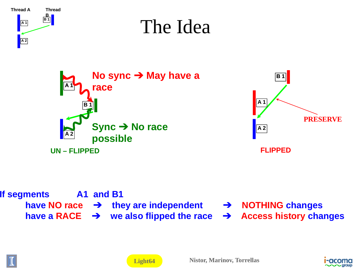





Light64

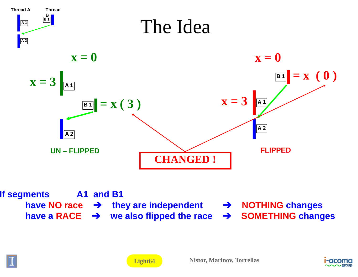





Light64

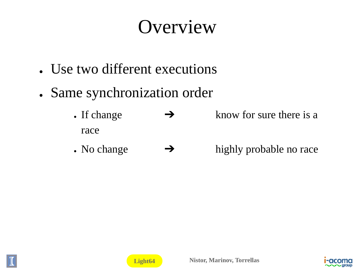### Overview

- Use two different executions
- Same synchronization order
	- If change  $\rightarrow$ race know for sure there is a
	- No change  $\rightarrow$ highly probable no race





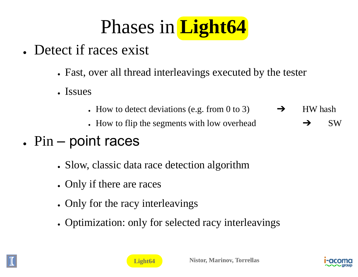

- Detect if races exist
	- Fast, over all thread interleavings executed by the tester
	- Issues
		- How to detect deviations (e.g. from 0 to 3)  $\rightarrow$  HW hash
		- How to flip the segments with low overhead

 ➔SW

- $\blacksquare$  Pin point races
	- Slow, classic data race detection algorithm
	- Only if there are races
	- Only for the racy interleavings
	- Optimization: only for selected racy interleavings



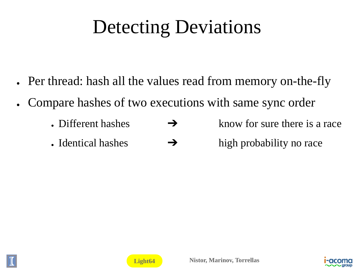## Detecting D Deviations

- Per thread: hash all the values read from memory on-the-fly
- $\bullet$ • Compare hashes of two executions with same sync order
	- Different hashes  $\rightarrow$ know for sure there is a race
	- Identical hashes  $\rightarrow$ high probability no race





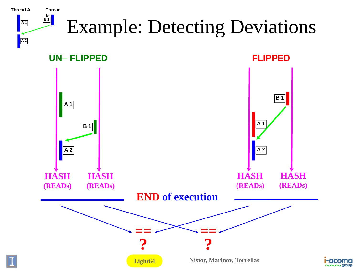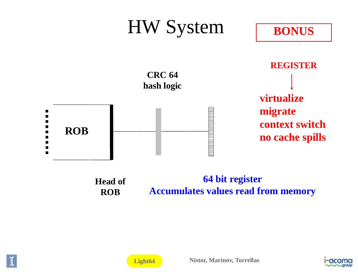

64 bit register **Head of Accumulates values read from memory ROB** 



Light64

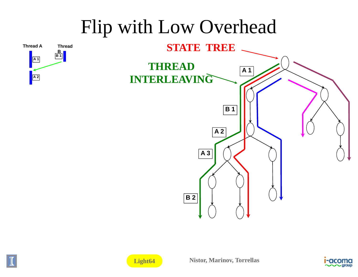### Flip with Low Overhead







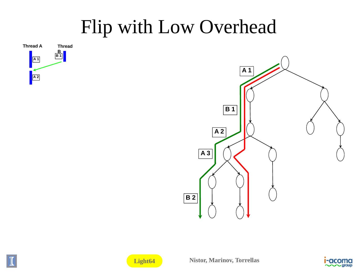#### Flip with Low Overhead









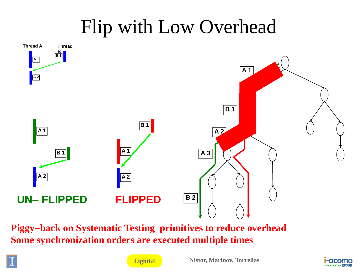### Flip with Low Overhead



**Piggy-back on Systematic Testing primitives to reduce overhead** Some synchronization orders are executed multiple times



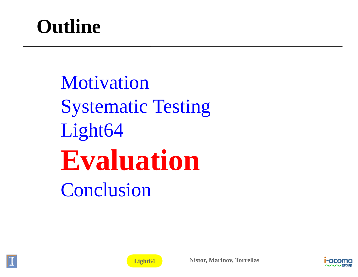## **Outline**

Motivation **Systematic Testing** Light64 **Evaluatio n**Conclusion



**Light64**

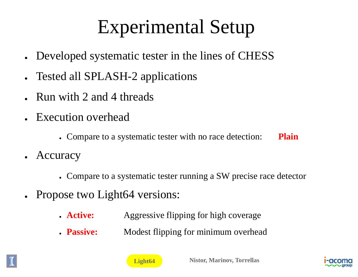# Experimental Setup

- Developed systematic tester in the lines of CHESS
- ●• Tested all SPLASH-2 applications
- ●Run with 2 and 4 threads
- Execution overhead
	- Compare to a systematic tester with no race detection: Plain
- Accuracy
	- Compare to a systematic tester running a SW precise race detector
- Propose two Light64 versions:
	- . Active: OSe two L1ght64 vers10ns:<br>• **Active:** Aggressive flipping for high coverage
	- . Passive: **Passive:** Modest flipping for minimum overhead





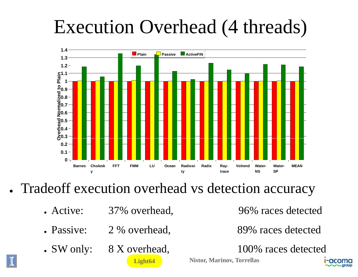## Execution Overhead (4 threads)



• Tradeoff execution overhead vs detection accuracy

**Light64**

- Active: 37% overhead,
- Passive: 2 % overhead,
- SW only: 8 X overhead,

96% races detected

89% races detected

100% races detected

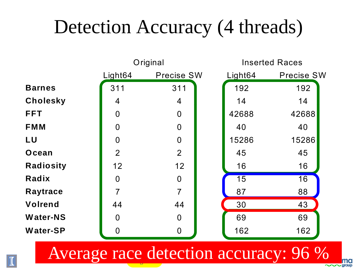## Detection Accuracy (4 threads)



Average race detection accuracy: 96 %

me · group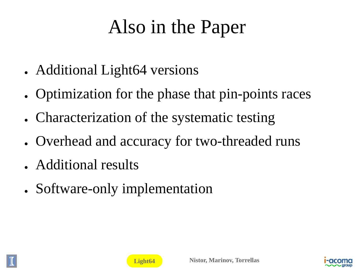## Also in the Paper

- Additional Light64 versions
- Optimization for the phase that pin-points races
- Characterization of the systematic testing
- Overhead and accuracy for two-threaded runs
- Additional results
- Software-only implementation





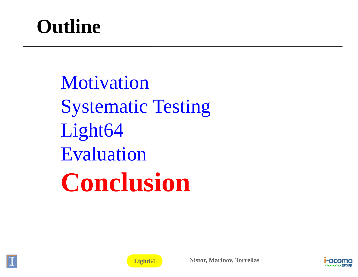## **Outline**

Motivation **Systematic Testing** Light64 Evaluation **Conclusion**





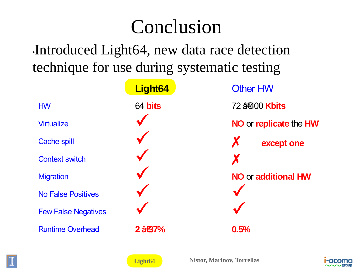## Conclusion

•Introduced Light64, new data race detection technique for use during <sup>s</sup> systematic testing

| $\mathbf{I}$               | ┙                             |                            |  |
|----------------------------|-------------------------------|----------------------------|--|
|                            | Light64                       | <b>Other HW</b>            |  |
| <b>HW</b>                  | 64 bits                       | 72 â@400 Kbits             |  |
| <b>Virtualize</b>          |                               | NO or replicate the HW     |  |
| <b>Cache spill</b>         |                               | X<br>except one            |  |
| <b>Context switch</b>      |                               | X                          |  |
| <b>Migration</b>           |                               | <b>NO or additional HW</b> |  |
| <b>No False Positives</b>  |                               |                            |  |
| <b>Few False Negatives</b> |                               |                            |  |
| <b>Runtime Overhead</b>    | $2$ $\hat{a}$ $\hat{g}$ $7\%$ | 0.5%                       |  |